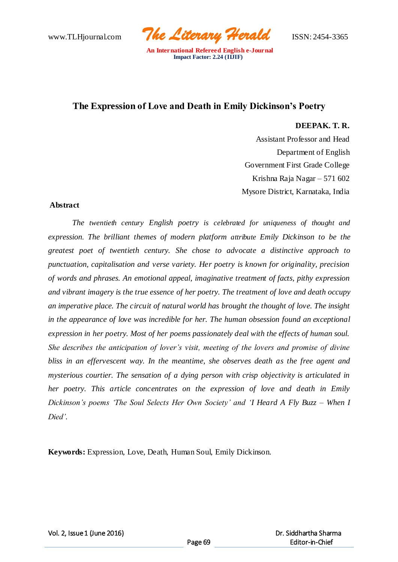www.TLHjournal.com *The Literary Herald*ISSN: 2454-3365

# **The Expression of Love and Death in Emily Dickinson's Poetry**

### **DEEPAK. T. R.**

Assistant Professor and Head Department of English Government First Grade College Krishna Raja Nagar – 571 602 Mysore District, Karnataka, India

#### **Abstract**

*The twentieth century English poetry is celebrated for uniqueness of thought and expression. The brilliant themes of modern platform attribute Emily Dickinson to be the greatest poet of twentieth century. She chose to advocate a distinctive approach to punctuation, capitalisation and verse variety. Her poetry is known for originality, precision of words and phrases. An emotional appeal, imaginative treatment of facts, pithy expression and vibrant imagery is the true essence of her poetry. The treatment of love and death occupy an imperative place. The circuit of natural world has brought the thought of love. The insight in the appearance of love was incredible for her. The human obsession found an exceptional expression in her poetry. Most of her poems passionately deal with the effects of human soul. She describes the anticipation of lover's visit, meeting of the lovers and promise of divine bliss in an effervescent way. In the meantime, she observes death as the free agent and mysterious courtier. The sensation of a dying person with crisp objectivity is articulated in her poetry. This article concentrates on the expression of love and death in Emily Dickinson's poems 'The Soul Selects Her Own Society' and 'I Heard A Fly Buzz – When I Died'.*

**Keywords:** Expression, Love, Death, Human Soul, Emily Dickinson.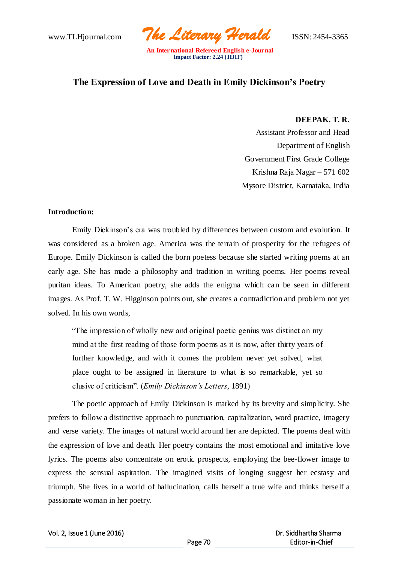www.TLHjournal.com *The Literary Herald*ISSN: 2454-3365

# **The Expression of Love and Death in Emily Dickinson's Poetry**

### **DEEPAK. T. R.**

Assistant Professor and Head Department of English Government First Grade College Krishna Raja Nagar – 571 602 Mysore District, Karnataka, India

### **Introduction:**

Emily Dickinson's era was troubled by differences between custom and evolution. It was considered as a broken age. America was the terrain of prosperity for the refugees of Europe. Emily Dickinson is called the born poetess because she started writing poems at an early age. She has made a philosophy and tradition in writing poems. Her poems reveal puritan ideas. To American poetry, she adds the enigma which can be seen in different images. As Prof. T. W. Higginson points out, she creates a contradiction and problem not yet solved. In his own words,

"The impression of wholly new and original poetic genius was distinct on my mind at the first reading of those form poems as it is now, after thirty years of further knowledge, and with it comes the problem never yet solved, what place ought to be assigned in literature to what is so remarkable, yet so elusive of criticism". (*Emily Dickinson's Letters*, 1891)

The poetic approach of Emily Dickinson is marked by its brevity and simplicity. She prefers to follow a distinctive approach to punctuation, capitalization, word practice, imagery and verse variety. The images of natural world around her are depicted. The poems deal with the expression of love and death. Her poetry contains the most emotional and imitative love lyrics. The poems also concentrate on erotic prospects, employing the bee-flower image to express the sensual aspiration. The imagined visits of longing suggest her ecstasy and triumph. She lives in a world of hallucination, calls herself a true wife and thinks herself a passionate woman in her poetry.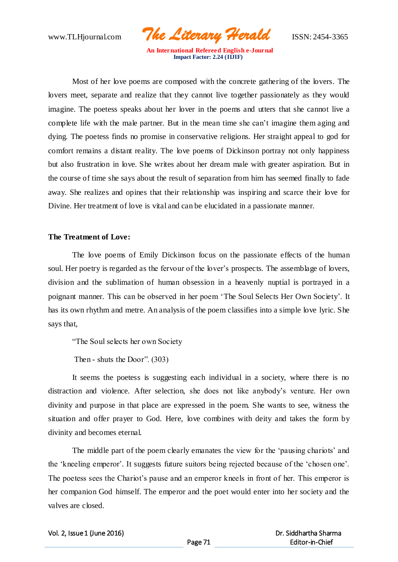www.TLHjournal.com *The Literary Herald*ISSN: 2454-3365

Most of her love poems are composed with the concrete gathering of the lovers. The lovers meet, separate and realize that they cannot live together passionately as they would imagine. The poetess speaks about her lover in the poems and utters that she cannot live a complete life with the male partner. But in the mean time she can't imagine them aging and dying. The poetess finds no promise in conservative religions. Her straight appeal to god for comfort remains a distant reality. The love poems of Dickinson portray not only happiness but also frustration in love. She writes about her dream male with greater aspiration. But in the course of time she says about the result of separation from him has seemed finally to fade away. She realizes and opines that their relationship was inspiring and scarce their love for Divine. Her treatment of love is vital and can be elucidated in a passionate manner.

## **The Treatment of Love:**

The love poems of Emily Dickinson focus on the passionate effects of the human soul. Her poetry is regarded as the fervour of the lover's prospects. The assemblage of lovers, division and the sublimation of human obsession in a heavenly nuptial is portrayed in a poignant manner. This can be observed in her poem 'The Soul Selects Her Own Society'. It has its own rhythm and metre. An analysis of the poem classifies into a simple love lyric. She says that,

"The Soul selects her own Society

Then - shuts the Door". (303)

It seems the poetess is suggesting each individual in a society, where there is no distraction and violence. After selection, she does not like anybody's venture. Her own divinity and purpose in that place are expressed in the poem. She wants to see, witness the situation and offer prayer to God. Here, love combines with deity and takes the form by divinity and becomes eternal.

The middle part of the poem clearly emanates the view for the 'pausing chariots' and the 'kneeling emperor'. It suggests future suitors being rejected because of the 'chosen one'. The poetess sees the Chariot's pause and an emperor kneels in front of her. This emperor is her companion God himself. The emperor and the poet would enter into her society and the valves are closed.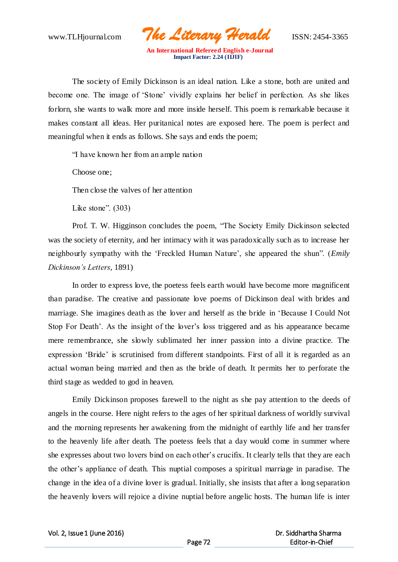www.TLHjournal.com *The Literary Herald*ISSN: 2454-3365

The society of Emily Dickinson is an ideal nation. Like a stone, both are united and become one. The image of 'Stone' vividly explains her belief in perfection. As she likes forlorn, she wants to walk more and more inside herself. This poem is remarkable because it makes constant all ideas. Her puritanical notes are exposed here. The poem is perfect and meaningful when it ends as follows. She says and ends the poem;

"I have known her from an ample nation

Choose one;

Then close the valves of her attention

Like stone". (303)

Prof. T. W. Higginson concludes the poem, "The Society Emily Dickinson selected was the society of eternity, and her intimacy with it was paradoxically such as to increase her neighbourly sympathy with the 'Freckled Human Nature', she appeared the shun". (*Emily Dickinson's Letters*, 1891)

In order to express love, the poetess feels earth would have become more magnificent than paradise. The creative and passionate love poems of Dickinson deal with brides and marriage. She imagines death as the lover and herself as the bride in 'Because I Could Not Stop For Death'. As the insight of the lover's loss triggered and as his appearance became mere remembrance, she slowly sublimated her inner passion into a divine practice. The expression 'Bride' is scrutinised from different standpoints. First of all it is regarded as an actual woman being married and then as the bride of death. It permits her to perforate the third stage as wedded to god in heaven.

Emily Dickinson proposes farewell to the night as she pay attention to the deeds of angels in the course. Here night refers to the ages of her spiritual darkness of worldly survival and the morning represents her awakening from the midnight of earthly life and her transfer to the heavenly life after death. The poetess feels that a day would come in summer where she expresses about two lovers bind on each other's crucifix. It clearly tells that they are each the other's appliance of death. This nuptial composes a spiritual marriage in paradise. The change in the idea of a divine lover is gradual. Initially, she insists that after a long separation the heavenly lovers will rejoice a divine nuptial before angelic hosts. The human life is inter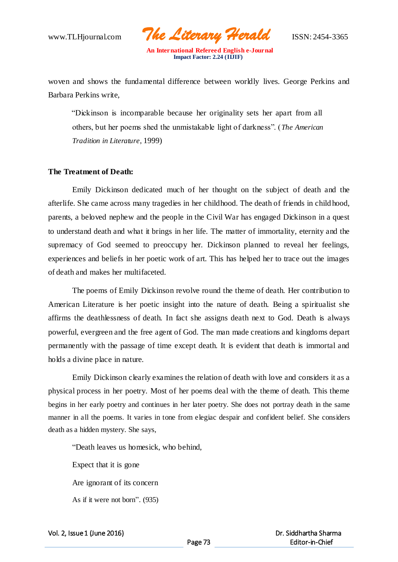www.TLHjournal.com *The Literary Herald*ISSN: 2454-3365

woven and shows the fundamental difference between worldly lives. George Perkins and Barbara Perkins write,

"Dickinson is incomparable because her originality sets her apart from all others, but her poems shed the unmistakable light of darkness". (*The American Tradition in Literature*, 1999)

### **The Treatment of Death:**

Emily Dickinson dedicated much of her thought on the subject of death and the afterlife. She came across many tragedies in her childhood. The death of friends in child hood, parents, a beloved nephew and the people in the Civil War has engaged Dickinson in a quest to understand death and what it brings in her life. The matter of immortality, eternity and the supremacy of God seemed to preoccupy her. Dickinson planned to reveal her feelings, experiences and beliefs in her poetic work of art. This has helped her to trace out the images of death and makes her multifaceted.

The poems of Emily Dickinson revolve round the theme of death. Her contribution to American Literature is her poetic insight into the nature of death. Being a spiritualist she affirms the deathlessness of death. In fact she assigns death next to God. Death is always powerful, evergreen and the free agent of God. The man made creations and kingdoms depart permanently with the passage of time except death. It is evident that death is immortal and holds a divine place in nature.

Emily Dickinson clearly examines the relation of death with love and considers it as a physical process in her poetry. Most of her poems deal with the theme of death. This theme begins in her early poetry and continues in her later poetry. She does not portray death in the same manner in all the poems. It varies in tone from elegiac despair and confident belief. She considers death as a hidden mystery. She says,

"Death leaves us homesick, who behind,

Expect that it is gone Are ignorant of its concern As if it were not born". (935)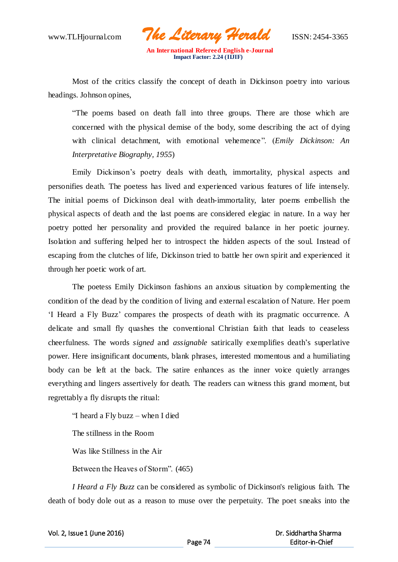www.TLHjournal.com *The Literary Herald*ISSN: 2454-3365

Most of the critics classify the concept of death in Dickinson poetry into various headings. Johnson opines,

"The poems based on death fall into three groups. There are those which are concerned with the physical demise of the body, some describing the act of dying with clinical detachment, with emotional vehemence". (*Emily Dickinson: An Interpretative Biography, 1955*)

Emily Dickinson's poetry deals with death, immortality, physical aspects and personifies death. The poetess has lived and experienced various features of life intensely. The initial poems of Dickinson deal with death-immortality, later poems embellish the physical aspects of death and the last poems are considered elegiac in nature. In a way her poetry potted her personality and provided the required balance in her poetic journey. Isolation and suffering helped her to introspect the hidden aspects of the soul. Instead of escaping from the clutches of life, Dickinson tried to battle her own spirit and experienced it through her poetic work of art.

The poetess Emily Dickinson fashions an anxious situation by complementing the condition of the dead by the condition of living and external escalation of Nature. Her poem 'I Heard a Fly Buzz' compares the prospects of death with its pragmatic occurrence. A delicate and small fly quashes the conventional Christian faith that leads to ceaseless cheerfulness. The words *signed* and *assignable* satirically exemplifies death's superlative power. Here insignificant documents, blank phrases, interested momentous and a humiliating body can be left at the back. The satire enhances as the inner voice quietly arranges everything and lingers assertively for death. The readers can witness this grand moment, but regrettably a fly disrupts the ritual:

"I heard a Fly buzz – when I died

The stillness in the Room

Was like Stillness in the Air

Between the Heaves of Storm". (465)

*I Heard a Fly Buzz* can be considered as symbolic of Dickinson's religious faith. The death of body dole out as a reason to muse over the perpetuity. The poet sneaks into the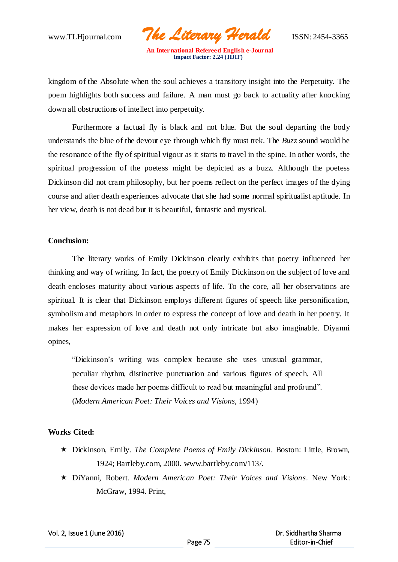www.TLHjournal.com *The Literary Herald*ISSN: 2454-3365

kingdom of the Absolute when the soul achieves a transitory insight into the Perpetuity. The poem highlights both success and failure. A man must go back to actuality after knocking down all obstructions of intellect into perpetuity.

Furthermore a factual fly is black and not blue. But the soul departing the body understands the blue of the devout eye through which fly must trek. The *Buzz* sound would be the resonance of the fly of spiritual vigour as it starts to travel in the spine. In other words, the spiritual progression of the poetess might be depicted as a buzz. Although the poetess Dickinson did not cram philosophy, but her poems reflect on the perfect images of the dying course and after death experiences advocate that she had some normal spiritualist aptitude. In her view, death is not dead but it is beautiful, fantastic and mystical.

### **Conclusion:**

The literary works of Emily Dickinson clearly exhibits that poetry influenced her thinking and way of writing. In fact, the poetry of Emily Dickinson on the subject of love and death encloses maturity about various aspects of life. To the core, all her observations are spiritual. It is clear that Dickinson employs different figures of speech like personification, symbolism and metaphors in order to express the concept of love and death in her poetry. It makes her expression of love and death not only intricate but also imaginable. Diyanni opines,

"Dickinson's writing was complex because she uses unusual grammar, peculiar rhythm, distinctive punctuation and various figures of speech. All these devices made her poems difficult to read but meaningful and profound". (*Modern American Poet: Their Voices and Visions*, 1994)

## **Works Cited:**

- Dickinson, Emily. *The Complete Poems of Emily Dickinson*. Boston: Little, Brown, 1924; Bartleby.com, 2000. www.bartleby.com/113/.
- DiYanni, Robert. *Modern American Poet: Their Voices and Visions*. New York: McGraw, 1994. Print,

Vol. 2, Issue 1 (June 2016)